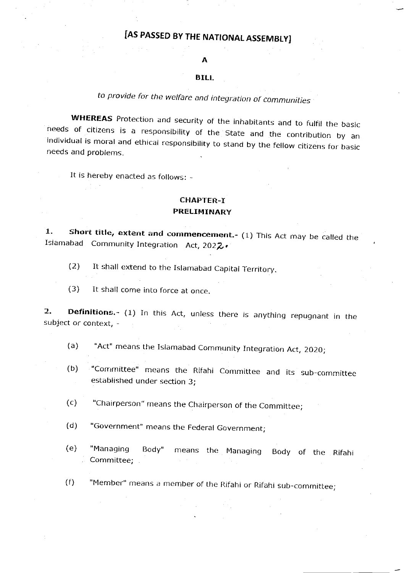# [AS PASSED BY THE NATIONAL ASSEMBLY]

#### A

#### **BILL**

## to provide for the welfare and integration of communities

**WHEREAS** Protection and security of the inhabitants and to fulfil the basic<br>needs of citizens is a responsibility of the State and the contribution by an<br>individual is moral and ethical responsibility to stand by the fell

It is hereby enacted as follows: -

### CHAPTER-T PRELIMINARY

**1.** Short title, extent and commencement.- (1) This Act may be called the Islamabad Community Integration Act, 2022.

- (2) It shall extend to the Islamabad Capital Territory.
- (3) It shall come into force at once.

**2.** Definitions. (1) In this Act, unless there is anything repugnant in the subject or context, -

- (a) "Act" means the Islamabad Community Integration Act, 2O2O;
- (b) "Committee" means the Rifahi Committee and its sub-committee established under section 3;

(c) "Chairperson" means the Chairperson of the Committee;

- (d) "Government" means the Federal Government;
- (e) "Managing Body" Committee; means the Managing Body of the Rifahi

(f) "Member" means a member of the Rifahi or Rifahi sub-committee;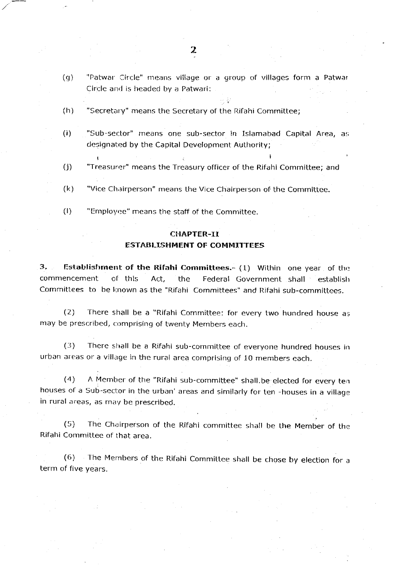- (q) "Patwar Circle" means village or a group of villages form a Patwar Circle and is headed by a Patwari:
- (h) "Secretary" means the Secretary of the Rifahi Committee;
- (i) "Sub-sector" means one sub-sector in Islamabad Capital Area, as designated by the Capital Development Authority;
- (j) "Treasurer" means the Treasury officer oF the Rifahi Committee; and
- $(k)$  "Vice Chairperson" means the Vice Chairperson of the Committee.
- (I) "Employee" means the staff of the Committee.

 $\blacksquare$ 

#### **CHAPTER-II**

#### ESTABLI5HMENT OF COMMITTEES

3. Establishment of the Rifahi Committees.-  $(1)$  Within one year of the commencement of this Act, the Federal Government shall establish Committees to be known as the "Rifahi Committees" and Rifahi sub-committees.

(2) There shall be a "Rifahi Committee: for every two hundred house as may be prescribed, comprising of twenty Members each.

 $(3)$  There shall be a Rifahi sub-committee of everyone hundred houses in urban areas or a village in the rural area comprising of 10 members each.

(4) A Member of the "Rifahi sub-committee" shall.be elected for every tenhouses of a Sub-sector in the urban' areas and similarly for ten -houses in a village in rural areas, as may be prescribed.

(5) The Chairperson of the RiFahi committee shall be the Member of the Rifahi Committee of that area.

 $(6)$  The Members of the Rifahi Committee shall be chose by election for a term of five years.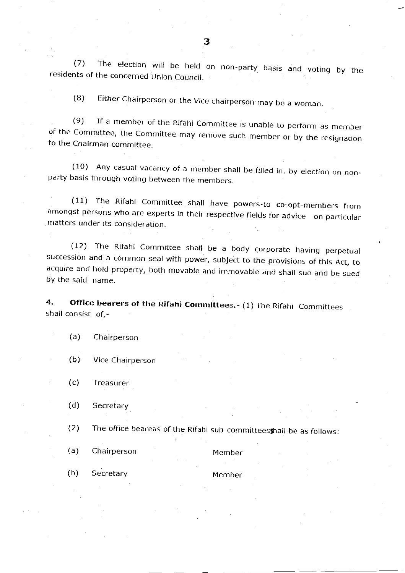(7) The election will be held on non-party basis and voting by the residents of the concerned Union Council.

(B) Either Chairperson or the Vice chairperson may be a woman.

(9) If a member of the Rifahi Committee is unable to perform as member of the Committee, the Committee may remove such member or by the resignation to the Chairman committee.

(10) Any casual vacancy of a member shall be filled in. by election on non-<br>party basis through voting between the members.

(11) The Rifahi Committee shall have powers-to co-opt-members from<br>amongst persons who are experts in their respective fields for advice on particular matters under its consideration.

(12) The Rifaht Commiftee shall be a body corporate having perpetual succession and a common seal with power, su bject to the provisions of this Act, to acquire and hold property, both movable and immovable and shall sue and be sued by the said name.

4. Office bearers of the Rifahi Committees.- (1) The Rifahi Committees shall consist of,-

#### (a) Chairperson

(b) Vice Chairperson

(c) Treasurer

(d) Secretary

(2) The office beareas of the Rifahi sub-committeesfrafl be as folows:

(a) Chairperson Member (b) Secretary Member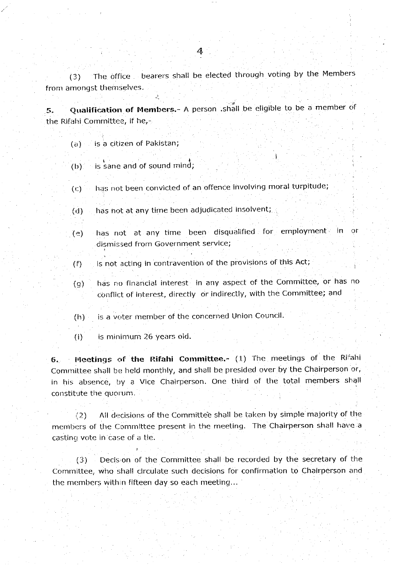(3) The office bearers shall be elected through voting by the Members from amongst themselves. .,

5. Qualification of Members.- A person .shall be eligible to be a member of the Rifahi Committee, if he,-

- $(a)$  is a citizen of Pakistan;
- $r(b)$  is sane and of sound mind;
- (r:) has not been convicted of an offence involving moral turpitude;
- (d) has not at any time been adjudicated insolvent;
- (e) has not at any time been disqualified for employment in or dismissed from Government service;
- (f) is not acting in contravention of the provisions of this Act;
- 
- (g) has no financial interest in any aspect of the Committee, or has no conflict of interest, directly or indirectly, with the Committee; and
- (h) is a voter member of the concerned Union Council.
- (i) is mininlurn 26 years old.

 $6.$  Meetings of the Rifahi Committee.-  $(1)$  The meetings of the Rifahi Committee shall be held monthly, and shall be presided over by the Chairperson or, in his absence, by a Vice Chairperson, One third of the total members shall constitute the quorum.

(2) All decisions of the Committee shall be taken by simple majority of the members of the Committee present in the meeting. The Chairperson shall have a casting vote in case of a tie.

 $(3)$  Decision of the Committee shall be recorded by the secretary of the Cornmittee, who shall circulate such decisions for confirmation to Chairperson and the members within fifteen day so each meeting...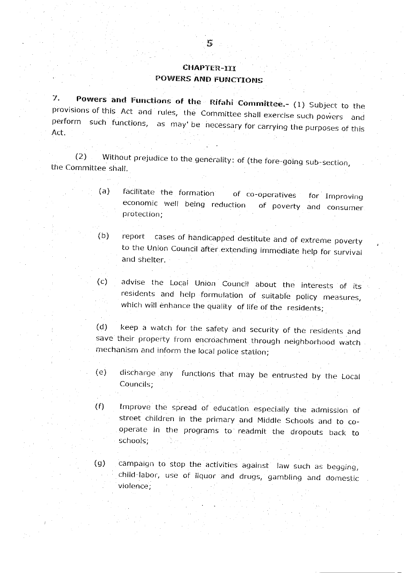## CHAPTER-III POWERS AND FUNCTIONS

7. Powers and Functions of the Rifahi Committee.- (1) Subject to the provisions of this Act and rules, the Committee shall exercise such powers and perform such functions, as may be necessary for carrying the purposes of this Act.

(2) Without prejudice to the generality: of (the fore-going sub-section, the Committee shall.

- (a) facilitate the formation of co\_operatives economic well being reduction protection; for Improving and consumer
- (b) report cases of handicapped destitute and of extreme poverty to the Union Council after extending immediate help for survival and shelter.
- (c) advise the Local Union Council about the interests of its residents and help formulation of suitable policy measures, which will enhance the quality of life of the residents;

(d) keep a watch for the safety and security of the residents and save their property from encroachment through neighborhood watch mechanism and inform the local police station;

- (e) discharge any functions that may be entrusted by the Local Councils:
- (f) Improve the spread of education especially the aclmission of street children in the primary and Middle Schools and to cooperate in the programs to readmit the dropouts back schools; : to
- campaign to stop the activities against law such as begging, child-labor, use of liquor and drugs, gambling and domestic violence;  $(g)$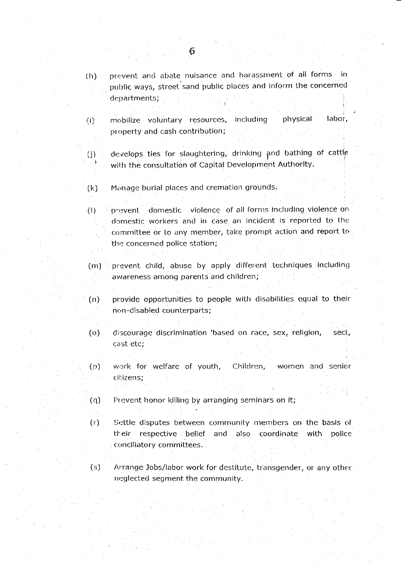- prevent and abate nuisance and harassment of all forms in  $(h)$ public ways, street sand public places and inform the concerned departments;
- : labor, including physical mobilize voluntary resources,  $(i)$ property and cash contribution;
- develops ties for slaughtering, drinking and bathing of cattle  $(i)$ with the consultation of Capital Development Authority.
- $(k)$ Manage burial places and cremation grounds.
- domestic violence of all forms including violence on  $(1)$ prevent domestic workers and in case an incident is reported to the committee or to any member, take prompt action and report to the concerned police station;
- prevent child, abuse by apply different techniques including  $(m)$ awareness among parents and children;
- provide opportunities to people with disabilities equal to their  $(n)$ non-disabled counterparts;
- $(o)$ discourage discrimination 'based on race, sex, religion, sect, cast etc;
- work for welfare of youth, Children,  $(p)$ women and senior citizens;
- Prevent honor killing by arranging seminars on it;  $(q)$
- $(r)$ Settle disputes between community members on the basis of their respective belief and also coordinate with police conciliatory committees.
- $(s)$ Arrange Jobs/labor work for destitute, transgender, or any other neglected segment the community.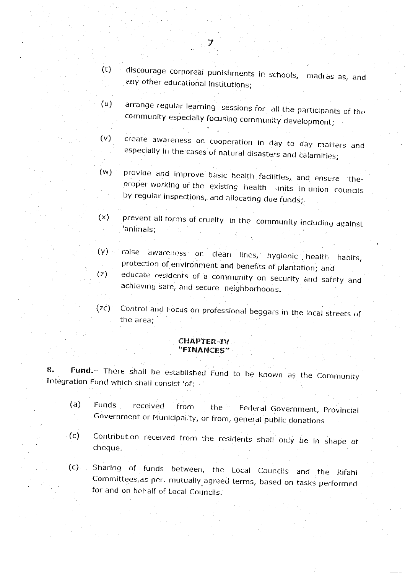- discourage corporeal punishments in schools, madras as, and  $(t)$ any other educational institutions;
- arrange regular learning sessions for all the participants of the  $(u)$ community especially focusing community development;
- create awareness on cooperation in day to day matters and  $(v)$ especially in the cases of natural disasters and calamities;
- provide and improve basic health facilities, and ensure the- $(w)$ proper working of the existing health units in union councils by regular inspections, and allocating due funds;
- prevent all forms of cruelty in the community including against  $(x)$ animals;
- raise awareness on clean lines, hygienic health habits,  $(y)$ protection of environment and benefits of plantation; and educate residents of a community on security and safety and  $(z)$ achieving safe, and secure neighborhoods.
- Control and Focus on professional beggars in the local streets of  $(zc)$ the area:

### **CHAPTER-IV** "FINANCES"

Fund.- There shall be established Fund to be known as the Community 8. Integration Fund which shall consist 'of:

- $(a)$ Funds received Federal Government, Provincial from the Government or Municipality, or from, general public donations
- Contribution received from the residents shall only be in shape of  $(c)$ cheque.
- Sharing of funds between, the Local Councils and the Rifahi  $(C)$ Committees, as per. mutually agreed terms, based on tasks performed for and on behalf of Local Councils.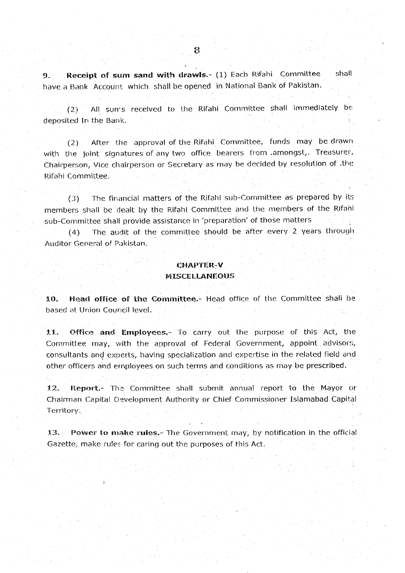Receipt of sum sand with drawls.- (1) Each Rifahi Committee shall  $9$ have a Bank Account which shall be opened in National Bank of Pakistan.

All sums received to the Rifahi Committee shall immediately be  $(2)$ deposited In the Bank.

After the approval of the Rifahi Committee, funds may be drawn  $(2)$ with the joint signatures of any two office bearers from amongst,. Treasurer, Chairperson, Vice chairperson or Secretary as may be decided by resolution of .the Rifahi Committee.

The financial matters of the Rifahi sub-Committee as prepared by its  $(3)$ members shall be dealt by the Rifahi Committee and the members of the Rifahi sub-Committee shall provide assistance in 'preparation' of those matters

The audit of the committee should be after every 2 years through  $(4)$ Auditor General of Pakistan.

## **CHAPTER-V MISCELLANEOUS**

Head office of the Committee.- Head office of the Committee shall be  $10.$ based at Union Council level.

11. Office and Employees.- To carry out the purpose of this Act, the Committee may, with the approval of Federal Government, appoint advisors, consultants and experts, having specialization and expertise in the related field and other officers and employees on such terms and conditions as may be prescribed.

 $12.$ Report.- The Committee shall submit annual report to the Mayor or Chairman Capital Development Authority or Chief Commissioner Islamabad Capital Territory.

Power to make rules.- The Government may, by notification in the official 13. Gazette, make rules for caring out the purposes of this Act.